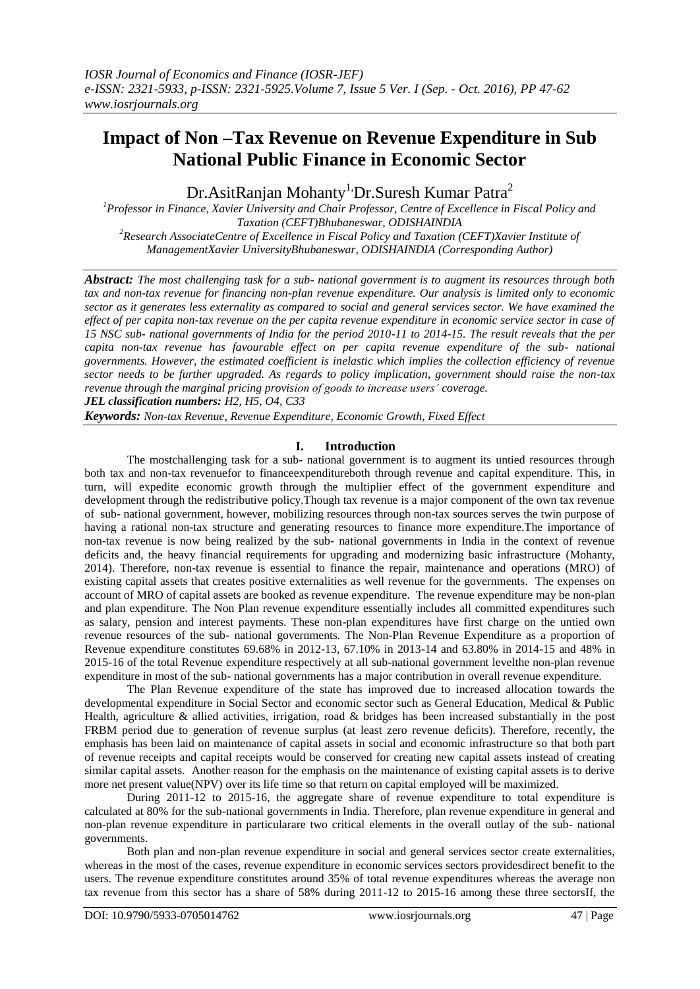# **Impact of Non –Tax Revenue on Revenue Expenditure in Sub National Public Finance in Economic Sector**

Dr.AsitRanjan Mohanty<sup>1,</sup>Dr.Suresh Kumar Patra<sup>2</sup>

*<sup>1</sup>Professor in Finance, Xavier University and Chair Professor, Centre of Excellence in Fiscal Policy and Taxation (CEFT)Bhubaneswar, ODISHAINDIA <sup>2</sup>Research AssociateCentre of Excellence in Fiscal Policy and Taxation (CEFT)Xavier Institute of ManagementXavier UniversityBhubaneswar, ODISHAINDIA (Corresponding Author)*

*Abstract: The most challenging task for a sub- national government is to augment its resources through both tax and non-tax revenue for financing non-plan revenue expenditure. Our analysis is limited only to economic sector as it generates less externality as compared to social and general services sector. We have examined the effect of per capita non-tax revenue on the per capita revenue expenditure in economic service sector in case of 15 NSC sub- national governments of India for the period 2010-11 to 2014-15. The result reveals that the per capita non-tax revenue has favourable effect on per capita revenue expenditure of the sub- national governments. However, the estimated coefficient is inelastic which implies the collection efficiency of revenue sector needs to be further upgraded. As regards to policy implication, government should raise the non-tax revenue through the marginal pricing provision of goods to increase users' coverage. JEL classification numbers: H2, H5, O4, C33* 

*Keywords: Non-tax Revenue, Revenue Expenditure, Economic Growth, Fixed Effect*

## **I. Introduction**

The mostchallenging task for a sub- national government is to augment its untied resources through both tax and non-tax revenuefor to financeexpenditureboth through revenue and capital expenditure. This, in turn, will expedite economic growth through the multiplier effect of the government expenditure and development through the redistributive policy.Though tax revenue is a major component of the own tax revenue of sub- national government, however, mobilizing resources through non-tax sources serves the twin purpose of having a rational non-tax structure and generating resources to finance more expenditure.The importance of non-tax revenue is now being realized by the sub- national governments in India in the context of revenue deficits and, the heavy financial requirements for upgrading and modernizing basic infrastructure (Mohanty, 2014). Therefore, non-tax revenue is essential to finance the repair, maintenance and operations (MRO) of existing capital assets that creates positive externalities as well revenue for the governments. The expenses on account of MRO of capital assets are booked as revenue expenditure. The revenue expenditure may be non-plan and plan expenditure. The Non Plan revenue expenditure essentially includes all committed expenditures such as salary, pension and interest payments. These non-plan expenditures have first charge on the untied own revenue resources of the sub- national governments. The Non-Plan Revenue Expenditure as a proportion of Revenue expenditure constitutes 69.68% in 2012-13, 67.10% in 2013-14 and 63.80% in 2014-15 and 48% in 2015-16 of the total Revenue expenditure respectively at all sub-national government levelthe non-plan revenue expenditure in most of the sub- national governments has a major contribution in overall revenue expenditure.

The Plan Revenue expenditure of the state has improved due to increased allocation towards the developmental expenditure in Social Sector and economic sector such as General Education, Medical & Public Health, agriculture & allied activities, irrigation, road & bridges has been increased substantially in the post FRBM period due to generation of revenue surplus (at least zero revenue deficits). Therefore, recently, the emphasis has been laid on maintenance of capital assets in social and economic infrastructure so that both part of revenue receipts and capital receipts would be conserved for creating new capital assets instead of creating similar capital assets. Another reason for the emphasis on the maintenance of existing capital assets is to derive more net present value(NPV) over its life time so that return on capital employed will be maximized.

During 2011-12 to 2015-16, the aggregate share of revenue expenditure to total expenditure is calculated at 80% for the sub-national governments in India. Therefore, plan revenue expenditure in general and non-plan revenue expenditure in particularare two critical elements in the overall outlay of the sub- national governments.

Both plan and non-plan revenue expenditure in social and general services sector create externalities, whereas in the most of the cases, revenue expenditure in economic services sectors providesdirect benefit to the users. The revenue expenditure constitutes around 35% of total revenue expenditures whereas the average non tax revenue from this sector has a share of 58% during 2011-12 to 2015-16 among these three sectorsIf, the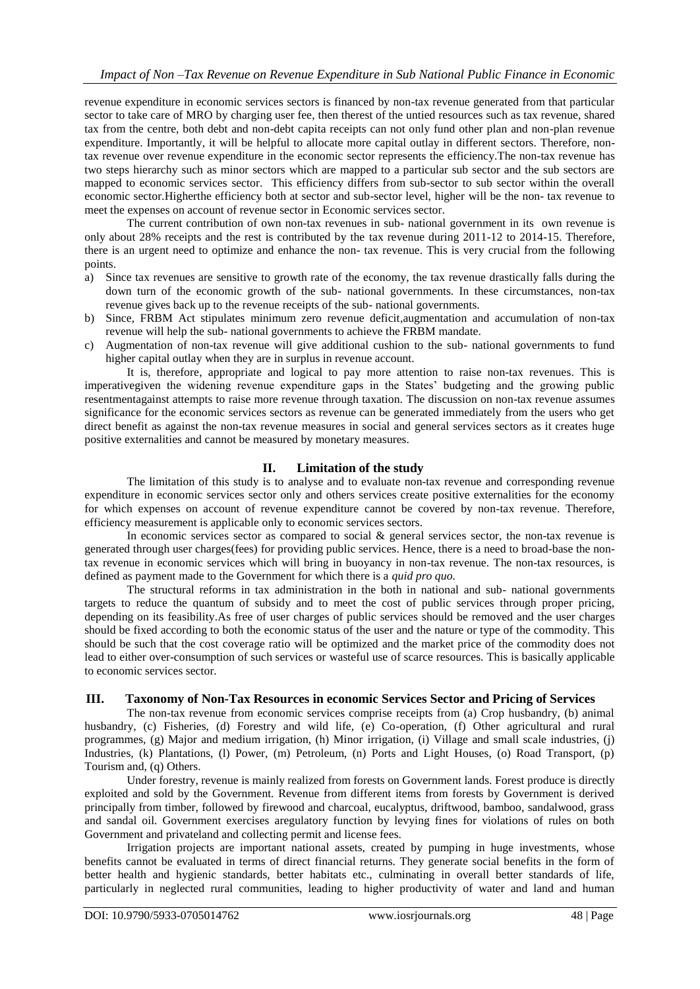revenue expenditure in economic services sectors is financed by non-tax revenue generated from that particular sector to take care of MRO by charging user fee, then therest of the untied resources such as tax revenue, shared tax from the centre, both debt and non-debt capita receipts can not only fund other plan and non-plan revenue expenditure. Importantly, it will be helpful to allocate more capital outlay in different sectors. Therefore, nontax revenue over revenue expenditure in the economic sector represents the efficiency.The non-tax revenue has two steps hierarchy such as minor sectors which are mapped to a particular sub sector and the sub sectors are mapped to economic services sector. This efficiency differs from sub-sector to sub sector within the overall economic sector.Higherthe efficiency both at sector and sub-sector level, higher will be the non- tax revenue to meet the expenses on account of revenue sector in Economic services sector.

The current contribution of own non-tax revenues in sub- national government in its own revenue is only about 28% receipts and the rest is contributed by the tax revenue during 2011-12 to 2014-15. Therefore, there is an urgent need to optimize and enhance the non- tax revenue. This is very crucial from the following points.

- a) Since tax revenues are sensitive to growth rate of the economy, the tax revenue drastically falls during the down turn of the economic growth of the sub- national governments. In these circumstances, non-tax revenue gives back up to the revenue receipts of the sub- national governments.
- b) Since, FRBM Act stipulates minimum zero revenue deficit,augmentation and accumulation of non-tax revenue will help the sub- national governments to achieve the FRBM mandate.
- c) Augmentation of non-tax revenue will give additional cushion to the sub- national governments to fund higher capital outlay when they are in surplus in revenue account.

It is, therefore, appropriate and logical to pay more attention to raise non-tax revenues. This is imperativegiven the widening revenue expenditure gaps in the States' budgeting and the growing public resentmentagainst attempts to raise more revenue through taxation. The discussion on non-tax revenue assumes significance for the economic services sectors as revenue can be generated immediately from the users who get direct benefit as against the non-tax revenue measures in social and general services sectors as it creates huge positive externalities and cannot be measured by monetary measures.

## **II. Limitation of the study**

The limitation of this study is to analyse and to evaluate non-tax revenue and corresponding revenue expenditure in economic services sector only and others services create positive externalities for the economy for which expenses on account of revenue expenditure cannot be covered by non-tax revenue. Therefore, efficiency measurement is applicable only to economic services sectors.

In economic services sector as compared to social & general services sector, the non-tax revenue is generated through user charges(fees) for providing public services. Hence, there is a need to broad-base the nontax revenue in economic services which will bring in buoyancy in non-tax revenue. The non-tax resources, is defined as payment made to the Government for which there is a *quid pro quo.* 

The structural reforms in tax administration in the both in national and sub- national governments targets to reduce the quantum of subsidy and to meet the cost of public services through proper pricing, depending on its feasibility.As free of user charges of public services should be removed and the user charges should be fixed according to both the economic status of the user and the nature or type of the commodity. This should be such that the cost coverage ratio will be optimized and the market price of the commodity does not lead to either over-consumption of such services or wasteful use of scarce resources. This is basically applicable to economic services sector.

## **III. Taxonomy of Non-Tax Resources in economic Services Sector and Pricing of Services**

The non-tax revenue from economic services comprise receipts from (a) Crop husbandry, (b) animal husbandry, (c) Fisheries, (d) Forestry and wild life, (e) Co-operation, (f) Other agricultural and rural programmes, (g) Major and medium irrigation, (h) Minor irrigation, (i) Village and small scale industries, (j) Industries, (k) Plantations, (l) Power, (m) Petroleum, (n) Ports and Light Houses, (o) Road Transport, (p) Tourism and, (q) Others.

Under forestry, revenue is mainly realized from forests on Government lands. Forest produce is directly exploited and sold by the Government. Revenue from different items from forests by Government is derived principally from timber, followed by firewood and charcoal, eucalyptus, driftwood, bamboo, sandalwood, grass and sandal oil. Government exercises aregulatory function by levying fines for violations of rules on both Government and privateland and collecting permit and license fees.

Irrigation projects are important national assets, created by pumping in huge investments, whose benefits cannot be evaluated in terms of direct financial returns. They generate social benefits in the form of better health and hygienic standards, better habitats etc., culminating in overall better standards of life, particularly in neglected rural communities, leading to higher productivity of water and land and human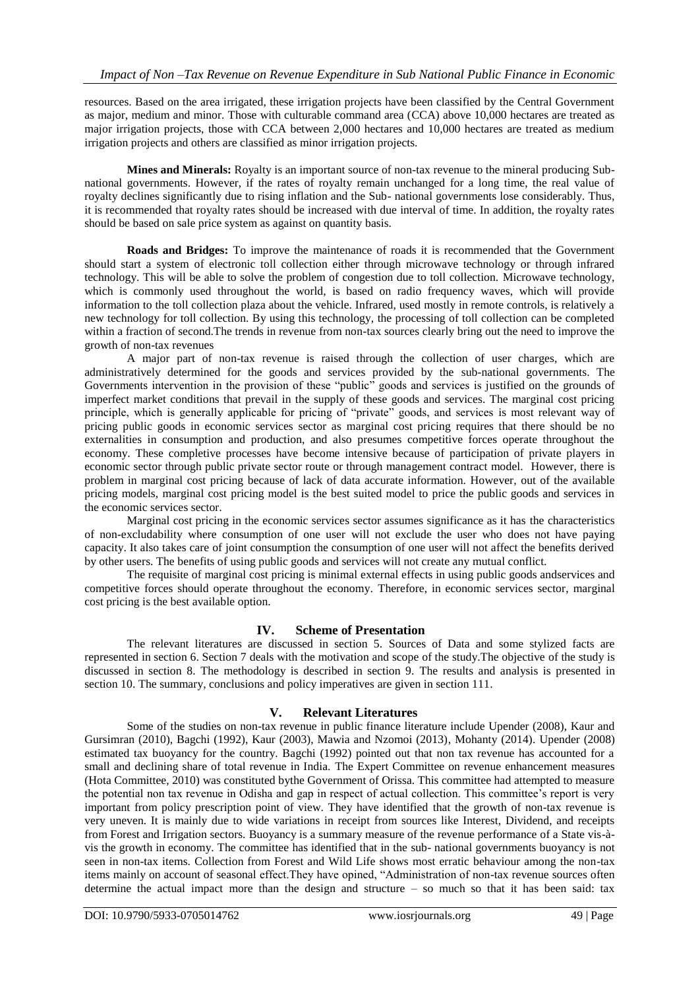resources. Based on the area irrigated, these irrigation projects have been classified by the Central Government as major, medium and minor. Those with culturable command area (CCA) above 10,000 hectares are treated as major irrigation projects, those with CCA between 2,000 hectares and 10,000 hectares are treated as medium irrigation projects and others are classified as minor irrigation projects.

**Mines and Minerals:** Royalty is an important source of non-tax revenue to the mineral producing Subnational governments. However, if the rates of royalty remain unchanged for a long time, the real value of royalty declines significantly due to rising inflation and the Sub- national governments lose considerably. Thus, it is recommended that royalty rates should be increased with due interval of time. In addition, the royalty rates should be based on sale price system as against on quantity basis.

**Roads and Bridges:** To improve the maintenance of roads it is recommended that the Government should start a system of electronic toll collection either through microwave technology or through infrared technology. This will be able to solve the problem of congestion due to toll collection. Microwave technology, which is commonly used throughout the world, is based on radio frequency waves, which will provide information to the toll collection plaza about the vehicle. Infrared, used mostly in remote controls, is relatively a new technology for toll collection. By using this technology, the processing of toll collection can be completed within a fraction of second.The trends in revenue from non-tax sources clearly bring out the need to improve the growth of non-tax revenues

A major part of non-tax revenue is raised through the collection of user charges, which are administratively determined for the goods and services provided by the sub-national governments. The Governments intervention in the provision of these "public" goods and services is justified on the grounds of imperfect market conditions that prevail in the supply of these goods and services. The marginal cost pricing principle, which is generally applicable for pricing of "private" goods, and services is most relevant way of pricing public goods in economic services sector as marginal cost pricing requires that there should be no externalities in consumption and production, and also presumes competitive forces operate throughout the economy. These completive processes have become intensive because of participation of private players in economic sector through public private sector route or through management contract model. However, there is problem in marginal cost pricing because of lack of data accurate information. However, out of the available pricing models, marginal cost pricing model is the best suited model to price the public goods and services in the economic services sector.

Marginal cost pricing in the economic services sector assumes significance as it has the characteristics of non-excludability where consumption of one user will not exclude the user who does not have paying capacity. It also takes care of joint consumption the consumption of one user will not affect the benefits derived by other users. The benefits of using public goods and services will not create any mutual conflict.

The requisite of marginal cost pricing is minimal external effects in using public goods andservices and competitive forces should operate throughout the economy. Therefore, in economic services sector, marginal cost pricing is the best available option.

## **IV. Scheme of Presentation**

The relevant literatures are discussed in section 5. Sources of Data and some stylized facts are represented in section 6. Section 7 deals with the motivation and scope of the study.The objective of the study is discussed in section 8. The methodology is described in section 9. The results and analysis is presented in section 10. The summary, conclusions and policy imperatives are given in section 111.

## **V. Relevant Literatures**

Some of the studies on non-tax revenue in public finance literature include Upender (2008), Kaur and Gursimran (2010), Bagchi (1992), Kaur (2003), Mawia and Nzomoi (2013), Mohanty (2014). Upender (2008) estimated tax buoyancy for the country. Bagchi (1992) pointed out that non tax revenue has accounted for a small and declining share of total revenue in India. The Expert Committee on revenue enhancement measures (Hota Committee, 2010) was constituted bythe Government of Orissa. This committee had attempted to measure the potential non tax revenue in Odisha and gap in respect of actual collection. This committee's report is very important from policy prescription point of view. They have identified that the growth of non-tax revenue is very uneven. It is mainly due to wide variations in receipt from sources like Interest, Dividend, and receipts from Forest and Irrigation sectors. Buoyancy is a summary measure of the revenue performance of a State vis-àvis the growth in economy. The committee has identified that in the sub- national governments buoyancy is not seen in non-tax items. Collection from Forest and Wild Life shows most erratic behaviour among the non-tax items mainly on account of seasonal effect. They have opined, "Administration of non-tax revenue sources often determine the actual impact more than the design and structure – so much so that it has been said: tax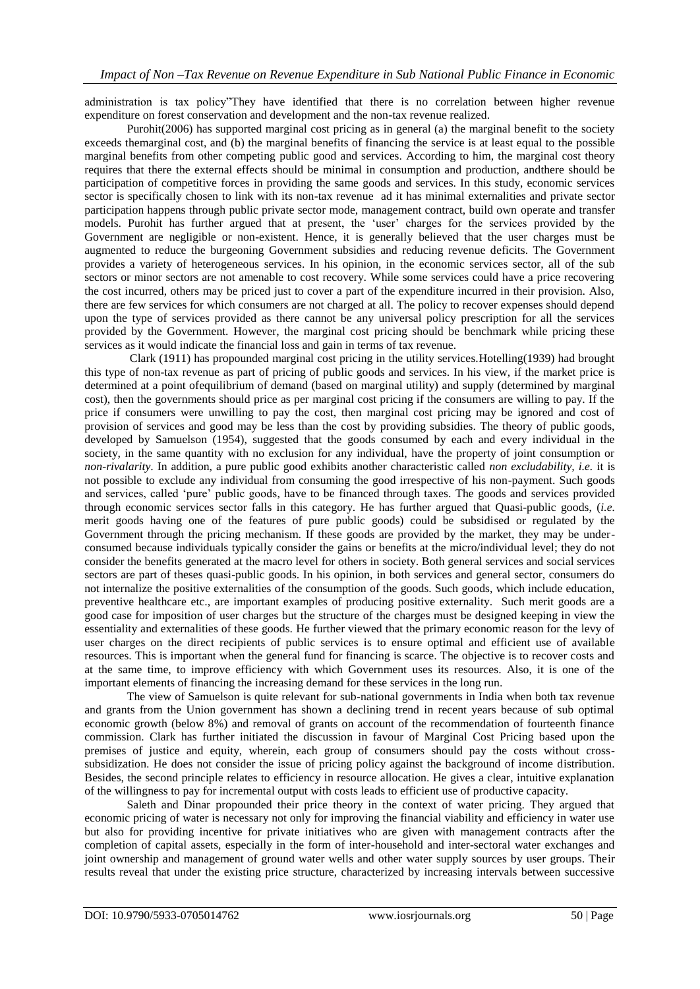administration is tax policy"They have identified that there is no correlation between higher revenue expenditure on forest conservation and development and the non-tax revenue realized.

Purohit(2006) has supported marginal cost pricing as in general (a) the marginal benefit to the society exceeds themarginal cost, and (b) the marginal benefits of financing the service is at least equal to the possible marginal benefits from other competing public good and services. According to him, the marginal cost theory requires that there the external effects should be minimal in consumption and production, andthere should be participation of competitive forces in providing the same goods and services. In this study, economic services sector is specifically chosen to link with its non-tax revenue ad it has minimal externalities and private sector participation happens through public private sector mode, management contract, build own operate and transfer models. Purohit has further argued that at present, the 'user' charges for the services provided by the Government are negligible or non-existent. Hence, it is generally believed that the user charges must be augmented to reduce the burgeoning Government subsidies and reducing revenue deficits. The Government provides a variety of heterogeneous services. In his opinion, in the economic services sector, all of the sub sectors or minor sectors are not amenable to cost recovery. While some services could have a price recovering the cost incurred, others may be priced just to cover a part of the expenditure incurred in their provision. Also, there are few services for which consumers are not charged at all. The policy to recover expenses should depend upon the type of services provided as there cannot be any universal policy prescription for all the services provided by the Government. However, the marginal cost pricing should be benchmark while pricing these services as it would indicate the financial loss and gain in terms of tax revenue.

Clark (1911) has propounded marginal cost pricing in the utility services.Hotelling(1939) had brought this type of non-tax revenue as part of pricing of public goods and services. In his view, if the market price is determined at a point ofequilibrium of demand (based on marginal utility) and supply (determined by marginal cost), then the governments should price as per marginal cost pricing if the consumers are willing to pay. If the price if consumers were unwilling to pay the cost, then marginal cost pricing may be ignored and cost of provision of services and good may be less than the cost by providing subsidies. The theory of public goods, developed by Samuelson (1954), suggested that the goods consumed by each and every individual in the society, in the same quantity with no exclusion for any individual, have the property of joint consumption or *non-rivalarity*. In addition, a pure public good exhibits another characteristic called *non excludability, i.e.* it is not possible to exclude any individual from consuming the good irrespective of his non-payment. Such goods and services, called 'pure' public goods, have to be financed through taxes. The goods and services provided through economic services sector falls in this category. He has further argued that Quasi-public goods, (*i.e.*  merit goods having one of the features of pure public goods) could be subsidised or regulated by the Government through the pricing mechanism. If these goods are provided by the market, they may be underconsumed because individuals typically consider the gains or benefits at the micro/individual level; they do not consider the benefits generated at the macro level for others in society. Both general services and social services sectors are part of theses quasi-public goods. In his opinion, in both services and general sector, consumers do not internalize the positive externalities of the consumption of the goods. Such goods, which include education, preventive healthcare etc., are important examples of producing positive externality. Such merit goods are a good case for imposition of user charges but the structure of the charges must be designed keeping in view the essentiality and externalities of these goods. He further viewed that the primary economic reason for the levy of user charges on the direct recipients of public services is to ensure optimal and efficient use of available resources. This is important when the general fund for financing is scarce. The objective is to recover costs and at the same time, to improve efficiency with which Government uses its resources. Also, it is one of the important elements of financing the increasing demand for these services in the long run.

The view of Samuelson is quite relevant for sub-national governments in India when both tax revenue and grants from the Union government has shown a declining trend in recent years because of sub optimal economic growth (below 8%) and removal of grants on account of the recommendation of fourteenth finance commission. Clark has further initiated the discussion in favour of Marginal Cost Pricing based upon the premises of justice and equity, wherein, each group of consumers should pay the costs without crosssubsidization. He does not consider the issue of pricing policy against the background of income distribution. Besides, the second principle relates to efficiency in resource allocation. He gives a clear, intuitive explanation of the willingness to pay for incremental output with costs leads to efficient use of productive capacity.

Saleth and Dinar propounded their price theory in the context of water pricing. They argued that economic pricing of water is necessary not only for improving the financial viability and efficiency in water use but also for providing incentive for private initiatives who are given with management contracts after the completion of capital assets, especially in the form of inter-household and inter-sectoral water exchanges and joint ownership and management of ground water wells and other water supply sources by user groups. Their results reveal that under the existing price structure, characterized by increasing intervals between successive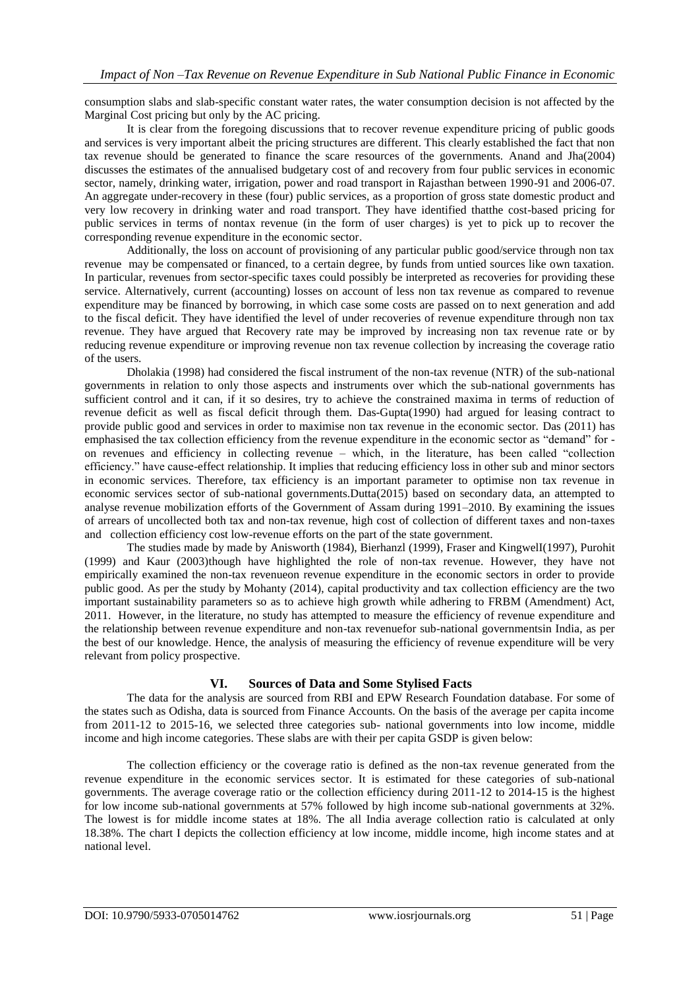consumption slabs and slab-specific constant water rates, the water consumption decision is not affected by the Marginal Cost pricing but only by the AC pricing.

It is clear from the foregoing discussions that to recover revenue expenditure pricing of public goods and services is very important albeit the pricing structures are different. This clearly established the fact that non tax revenue should be generated to finance the scare resources of the governments. Anand and Jha(2004) discusses the estimates of the annualised budgetary cost of and recovery from four public services in economic sector, namely, drinking water, irrigation, power and road transport in Rajasthan between 1990-91 and 2006-07. An aggregate under-recovery in these (four) public services, as a proportion of gross state domestic product and very low recovery in drinking water and road transport. They have identified thatthe cost-based pricing for public services in terms of nontax revenue (in the form of user charges) is yet to pick up to recover the corresponding revenue expenditure in the economic sector.

Additionally, the loss on account of provisioning of any particular public good/service through non tax revenue may be compensated or financed, to a certain degree, by funds from untied sources like own taxation. In particular, revenues from sector-specific taxes could possibly be interpreted as recoveries for providing these service. Alternatively, current (accounting) losses on account of less non tax revenue as compared to revenue expenditure may be financed by borrowing, in which case some costs are passed on to next generation and add to the fiscal deficit. They have identified the level of under recoveries of revenue expenditure through non tax revenue. They have argued that Recovery rate may be improved by increasing non tax revenue rate or by reducing revenue expenditure or improving revenue non tax revenue collection by increasing the coverage ratio of the users.

Dholakia (1998) had considered the fiscal instrument of the non-tax revenue (NTR) of the sub-national governments in relation to only those aspects and instruments over which the sub-national governments has sufficient control and it can, if it so desires, try to achieve the constrained maxima in terms of reduction of revenue deficit as well as fiscal deficit through them. Das-Gupta(1990) had argued for leasing contract to provide public good and services in order to maximise non tax revenue in the economic sector. Das (2011) has emphasised the tax collection efficiency from the revenue expenditure in the economic sector as "demand" for on revenues and efficiency in collecting revenue – which, in the literature, has been called "collection" efficiency." have cause-effect relationship. It implies that reducing efficiency loss in other sub and minor sectors in economic services. Therefore, tax efficiency is an important parameter to optimise non tax revenue in economic services sector of sub-national governments.Dutta(2015) based on secondary data, an attempted to analyse revenue mobilization efforts of the Government of Assam during 1991–2010. By examining the issues of arrears of uncollected both tax and non-tax revenue, high cost of collection of different taxes and non-taxes and collection efficiency cost low-revenue efforts on the part of the state government.

The studies made by made by Anisworth (1984), Bierhanzl (1999), Fraser and KingwelI(1997), Purohit (1999) and Kaur (2003)though have highlighted the role of non-tax revenue. However, they have not empirically examined the non-tax revenueon revenue expenditure in the economic sectors in order to provide public good. As per the study by Mohanty (2014), capital productivity and tax collection efficiency are the two important sustainability parameters so as to achieve high growth while adhering to FRBM (Amendment) Act, 2011. However, in the literature, no study has attempted to measure the efficiency of revenue expenditure and the relationship between revenue expenditure and non-tax revenuefor sub-national governmentsin India, as per the best of our knowledge. Hence, the analysis of measuring the efficiency of revenue expenditure will be very relevant from policy prospective.

## **VI. Sources of Data and Some Stylised Facts**

The data for the analysis are sourced from RBI and EPW Research Foundation database. For some of the states such as Odisha, data is sourced from Finance Accounts. On the basis of the average per capita income from 2011-12 to 2015-16, we selected three categories sub- national governments into low income, middle income and high income categories. These slabs are with their per capita GSDP is given below:

The collection efficiency or the coverage ratio is defined as the non-tax revenue generated from the revenue expenditure in the economic services sector. It is estimated for these categories of sub-national governments. The average coverage ratio or the collection efficiency during 2011-12 to 2014-15 is the highest for low income sub-national governments at 57% followed by high income sub-national governments at 32%. The lowest is for middle income states at 18%. The all India average collection ratio is calculated at only 18.38%. The chart I depicts the collection efficiency at low income, middle income, high income states and at national level.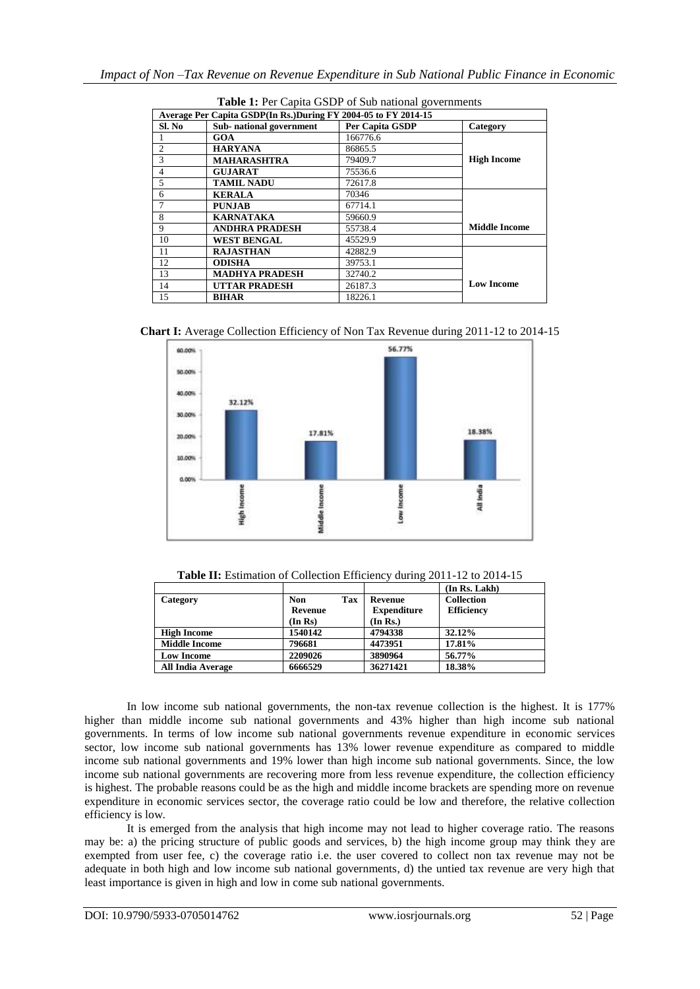| Average Per Capita GSDP(In Rs.)During FY 2004-05 to FY 2014-15 |                         |                 |                      |  |
|----------------------------------------------------------------|-------------------------|-----------------|----------------------|--|
| Sl. No                                                         | Sub-national government | Per Capita GSDP | Category             |  |
|                                                                | GOA                     | 166776.6        |                      |  |
| 2                                                              | <b>HARYANA</b>          | 86865.5         |                      |  |
| 3                                                              | <b>MAHARASHTRA</b>      | 79409.7         | <b>High Income</b>   |  |
| $\overline{4}$                                                 | <b>GUJARAT</b>          | 75536.6         |                      |  |
| 5                                                              | <b>TAMIL NADU</b>       | 72617.8         |                      |  |
| 6                                                              | <b>KERALA</b>           | 70346           |                      |  |
|                                                                | <b>PUNJAB</b>           | 67714.1         |                      |  |
| 8                                                              | <b>KARNATAKA</b>        | 59660.9         |                      |  |
| 9                                                              | <b>ANDHRA PRADESH</b>   | 55738.4         | <b>Middle Income</b> |  |
| 10                                                             | <b>WEST BENGAL</b>      | 45529.9         |                      |  |
| 11                                                             | <b>RAJASTHAN</b>        | 42882.9         |                      |  |
| 12                                                             | <b>ODISHA</b>           | 39753.1         |                      |  |
| 13                                                             | <b>MADHYA PRADESH</b>   | 32740.2         |                      |  |
| 14                                                             | <b>UTTAR PRADESH</b>    | 26187.3         | <b>Low Income</b>    |  |
| 15                                                             | <b>BIHAR</b>            | 18226.1         |                      |  |

**Table 1:** Per Capita GSDP of Sub national governments

**Chart I:** Average Collection Efficiency of Non Tax Revenue during 2011-12 to 2014-15



Table II: Estimation of Collection Efficiency during 2011-12 to 2014-15

|                          |            |     |                    | (In Rs. Lakh)     |
|--------------------------|------------|-----|--------------------|-------------------|
| Category                 | <b>Non</b> | Tax | Revenue            | Collection        |
|                          | Revenue    |     | <b>Expenditure</b> | <b>Efficiency</b> |
|                          | (In Rs)    |     | (In Rs.)           |                   |
| <b>High Income</b>       | 1540142    |     | 4794338            | 32.12%            |
| <b>Middle Income</b>     | 796681     |     | 4473951            | 17.81%            |
| <b>Low Income</b>        | 2209026    |     | 3890964            | 56.77%            |
| <b>All India Average</b> | 6666529    |     | 36271421           | 18.38%            |

In low income sub national governments, the non-tax revenue collection is the highest. It is 177% higher than middle income sub national governments and 43% higher than high income sub national governments. In terms of low income sub national governments revenue expenditure in economic services sector, low income sub national governments has 13% lower revenue expenditure as compared to middle income sub national governments and 19% lower than high income sub national governments. Since, the low income sub national governments are recovering more from less revenue expenditure, the collection efficiency is highest. The probable reasons could be as the high and middle income brackets are spending more on revenue expenditure in economic services sector, the coverage ratio could be low and therefore, the relative collection efficiency is low.

It is emerged from the analysis that high income may not lead to higher coverage ratio. The reasons may be: a) the pricing structure of public goods and services, b) the high income group may think they are exempted from user fee, c) the coverage ratio i.e. the user covered to collect non tax revenue may not be adequate in both high and low income sub national governments, d) the untied tax revenue are very high that least importance is given in high and low in come sub national governments.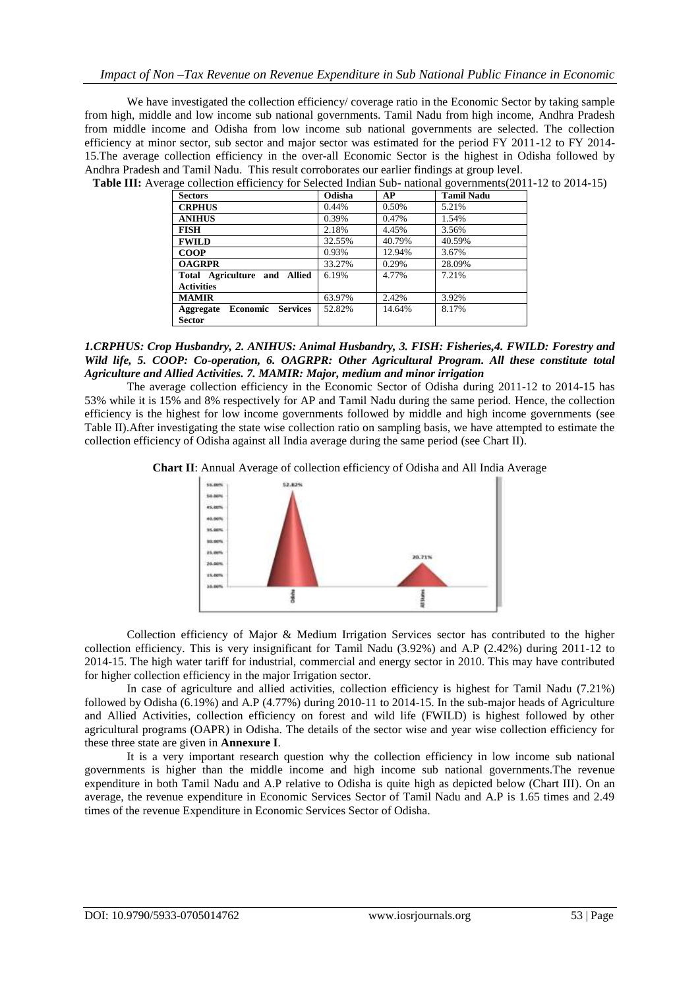We have investigated the collection efficiency/ coverage ratio in the Economic Sector by taking sample from high, middle and low income sub national governments. Tamil Nadu from high income, Andhra Pradesh from middle income and Odisha from low income sub national governments are selected. The collection efficiency at minor sector, sub sector and major sector was estimated for the period FY 2011-12 to FY 2014- 15.The average collection efficiency in the over-all Economic Sector is the highest in Odisha followed by Andhra Pradesh and Tamil Nadu. This result corroborates our earlier findings at group level. **Table III:** Average collection efficiency for Selected Indian Sub- national governments(2011-12 to 2014-15)

| <b>Sectors</b>                                            | Odisha | AP     | <b>Tamil Nadu</b> |
|-----------------------------------------------------------|--------|--------|-------------------|
| <b>CRPHUS</b>                                             | 0.44%  | 0.50%  | 5.21%             |
| <b>ANIHUS</b>                                             | 0.39%  | 0.47%  | 1.54%             |
| <b>FISH</b>                                               | 2.18%  | 4.45%  | 3.56%             |
| <b>FWILD</b>                                              | 32.55% | 40.79% | 40.59%            |
| <b>COOP</b>                                               | 0.93%  | 12.94% | 3.67%             |
| <b>OAGRPR</b>                                             | 33.27% | 0.29%  | 28.09%            |
| Total Agriculture and Allied                              | 6.19%  | 4.77%  | 7.21%             |
| <b>Activities</b>                                         |        |        |                   |
| <b>MAMIR</b>                                              | 63.97% | 2.42%  | 3.92%             |
| <b>Services</b><br>Economic<br>Aggregate<br><b>Sector</b> | 52.82% | 14.64% | 8.17%             |

*1.CRPHUS: Crop Husbandry, 2. ANIHUS: Animal Husbandry, 3. FISH: Fisheries,4. FWILD: Forestry and Wild life, 5. COOP: Co-operation, 6. OAGRPR: Other Agricultural Program. All these constitute total Agriculture and Allied Activities. 7. MAMIR: Major, medium and minor irrigation*

The average collection efficiency in the Economic Sector of Odisha during 2011-12 to 2014-15 has 53% while it is 15% and 8% respectively for AP and Tamil Nadu during the same period. Hence, the collection efficiency is the highest for low income governments followed by middle and high income governments (see Table II).After investigating the state wise collection ratio on sampling basis, we have attempted to estimate the collection efficiency of Odisha against all India average during the same period (see Chart II).





Collection efficiency of Major & Medium Irrigation Services sector has contributed to the higher collection efficiency. This is very insignificant for Tamil Nadu (3.92%) and A.P (2.42%) during 2011-12 to 2014-15. The high water tariff for industrial, commercial and energy sector in 2010. This may have contributed for higher collection efficiency in the major Irrigation sector.

In case of agriculture and allied activities, collection efficiency is highest for Tamil Nadu (7.21%) followed by Odisha (6.19%) and A.P (4.77%) during 2010-11 to 2014-15. In the sub-major heads of Agriculture and Allied Activities, collection efficiency on forest and wild life (FWILD) is highest followed by other agricultural programs (OAPR) in Odisha. The details of the sector wise and year wise collection efficiency for these three state are given in **Annexure I**.

It is a very important research question why the collection efficiency in low income sub national governments is higher than the middle income and high income sub national governments.The revenue expenditure in both Tamil Nadu and A.P relative to Odisha is quite high as depicted below (Chart III). On an average, the revenue expenditure in Economic Services Sector of Tamil Nadu and A.P is 1.65 times and 2.49 times of the revenue Expenditure in Economic Services Sector of Odisha.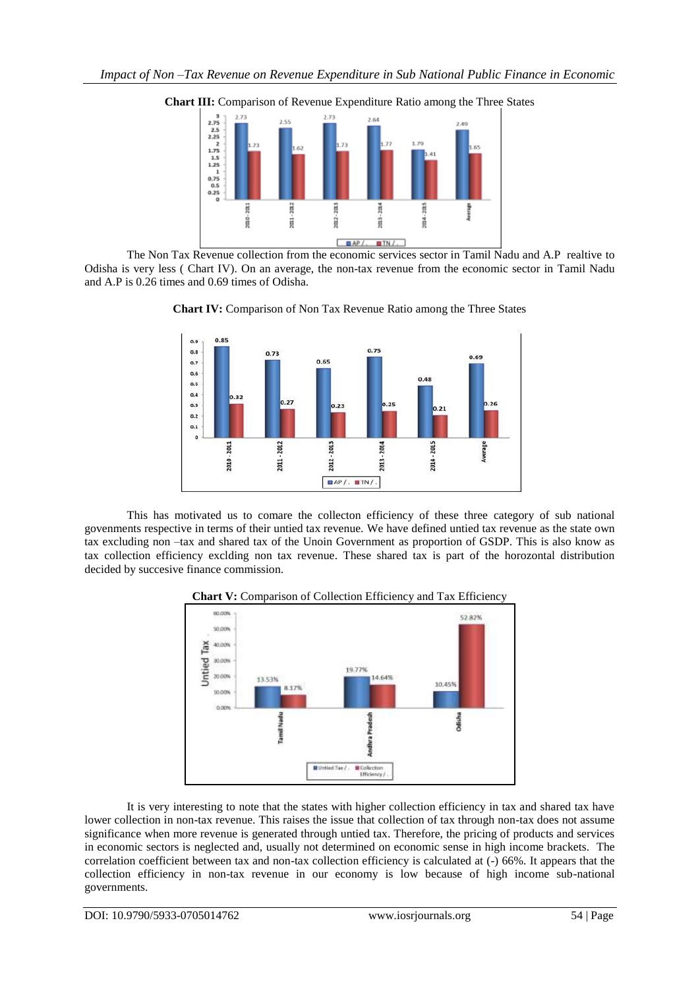

**Chart III:** Comparison of Revenue Expenditure Ratio among the Three States

The Non Tax Revenue collection from the economic services sector in Tamil Nadu and A.P realtive to Odisha is very less ( Chart IV). On an average, the non-tax revenue from the economic sector in Tamil Nadu and A.P is 0.26 times and 0.69 times of Odisha.





This has motivated us to comare the collecton efficiency of these three category of sub national govenments respective in terms of their untied tax revenue. We have defined untied tax revenue as the state own tax excluding non –tax and shared tax of the Unoin Government as proportion of GSDP. This is also know as tax collection efficiency exclding non tax revenue. These shared tax is part of the horozontal distribution decided by succesive finance commission.



**Chart V:** Comparison of Collection Efficiency and Tax Efficiency

It is very interesting to note that the states with higher collection efficiency in tax and shared tax have lower collection in non-tax revenue. This raises the issue that collection of tax through non-tax does not assume significance when more revenue is generated through untied tax. Therefore, the pricing of products and services in economic sectors is neglected and, usually not determined on economic sense in high income brackets. The correlation coefficient between tax and non-tax collection efficiency is calculated at (-) 66%. It appears that the collection efficiency in non-tax revenue in our economy is low because of high income sub-national governments.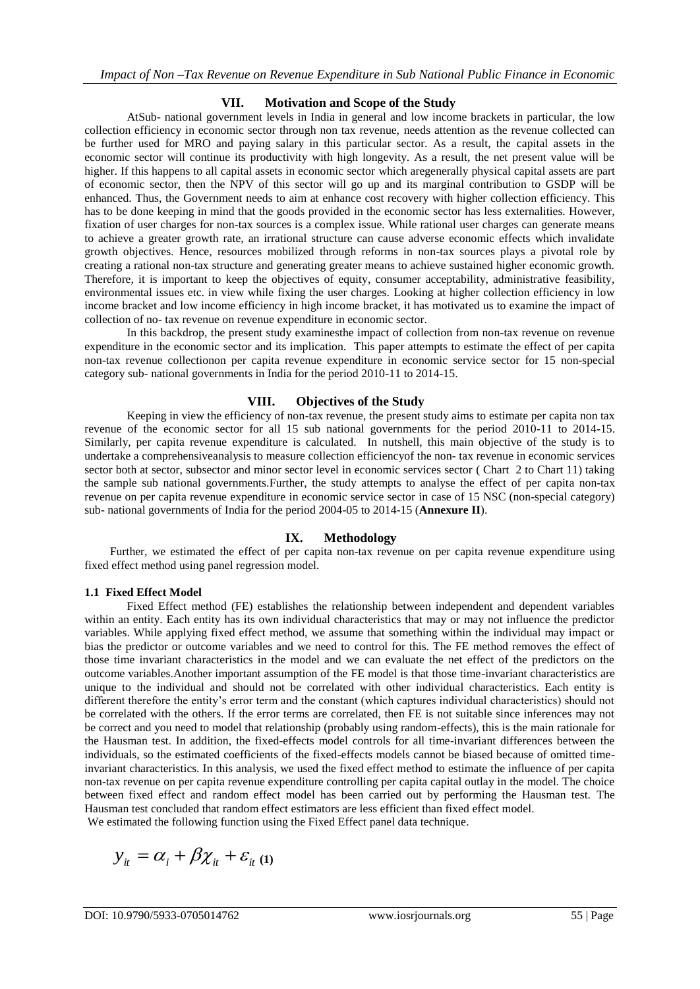## **VII. Motivation and Scope of the Study**

AtSub- national government levels in India in general and low income brackets in particular, the low collection efficiency in economic sector through non tax revenue, needs attention as the revenue collected can be further used for MRO and paying salary in this particular sector. As a result, the capital assets in the economic sector will continue its productivity with high longevity. As a result, the net present value will be higher. If this happens to all capital assets in economic sector which aregenerally physical capital assets are part of economic sector, then the NPV of this sector will go up and its marginal contribution to GSDP will be enhanced. Thus, the Government needs to aim at enhance cost recovery with higher collection efficiency. This has to be done keeping in mind that the goods provided in the economic sector has less externalities. However, fixation of user charges for non-tax sources is a complex issue. While rational user charges can generate means to achieve a greater growth rate, an irrational structure can cause adverse economic effects which invalidate growth objectives. Hence, resources mobilized through reforms in non-tax sources plays a pivotal role by creating a rational non-tax structure and generating greater means to achieve sustained higher economic growth. Therefore, it is important to keep the objectives of equity, consumer acceptability, administrative feasibility, environmental issues etc. in view while fixing the user charges. Looking at higher collection efficiency in low income bracket and low income efficiency in high income bracket, it has motivated us to examine the impact of collection of no- tax revenue on revenue expenditure in economic sector.

In this backdrop, the present study examinesthe impact of collection from non-tax revenue on revenue expenditure in the economic sector and its implication. This paper attempts to estimate the effect of per capita non-tax revenue collectionon per capita revenue expenditure in economic service sector for 15 non-special category sub- national governments in India for the period 2010-11 to 2014-15.

#### **VIII. Objectives of the Study**

Keeping in view the efficiency of non-tax revenue, the present study aims to estimate per capita non tax revenue of the economic sector for all 15 sub national governments for the period 2010-11 to 2014-15. Similarly, per capita revenue expenditure is calculated. In nutshell, this main objective of the study is to undertake a comprehensiveanalysis to measure collection efficiencyof the non- tax revenue in economic services sector both at sector, subsector and minor sector level in economic services sector (Chart 2 to Chart 11) taking the sample sub national governments.Further, the study attempts to analyse the effect of per capita non-tax revenue on per capita revenue expenditure in economic service sector in case of 15 NSC (non-special category) sub- national governments of India for the period 2004-05 to 2014-15 (**Annexure II**).

## **IX. Methodology**

Further, we estimated the effect of per capita non-tax revenue on per capita revenue expenditure using fixed effect method using panel regression model.

#### **1.1 Fixed Effect Model**

Fixed Effect method (FE) establishes the relationship between independent and dependent variables within an entity. Each entity has its own individual characteristics that may or may not influence the predictor variables. While applying fixed effect method, we assume that something within the individual may impact or bias the predictor or outcome variables and we need to control for this. The FE method removes the effect of those time invariant characteristics in the model and we can evaluate the net effect of the predictors on the outcome variables.Another important assumption of the FE model is that those time-invariant characteristics are unique to the individual and should not be correlated with other individual characteristics. Each entity is different therefore the entity's error term and the constant (which captures individual characteristics) should not be correlated with the others. If the error terms are correlated, then FE is not suitable since inferences may not be correct and you need to model that relationship (probably using random-effects), this is the main rationale for the Hausman test. In addition, the fixed-effects model controls for all time-invariant differences between the individuals, so the estimated coefficients of the fixed-effects models cannot be biased because of omitted timeinvariant characteristics. In this analysis, we used the fixed effect method to estimate the influence of per capita non-tax revenue on per capita revenue expenditure controlling per capita capital outlay in the model. The choice between fixed effect and random effect model has been carried out by performing the Hausman test. The Hausman test concluded that random effect estimators are less efficient than fixed effect model.

We estimated the following function using the Fixed Effect panel data technique.

$$
y_{it} = \alpha_i + \beta \chi_{it} + \varepsilon_{it} \ (1)
$$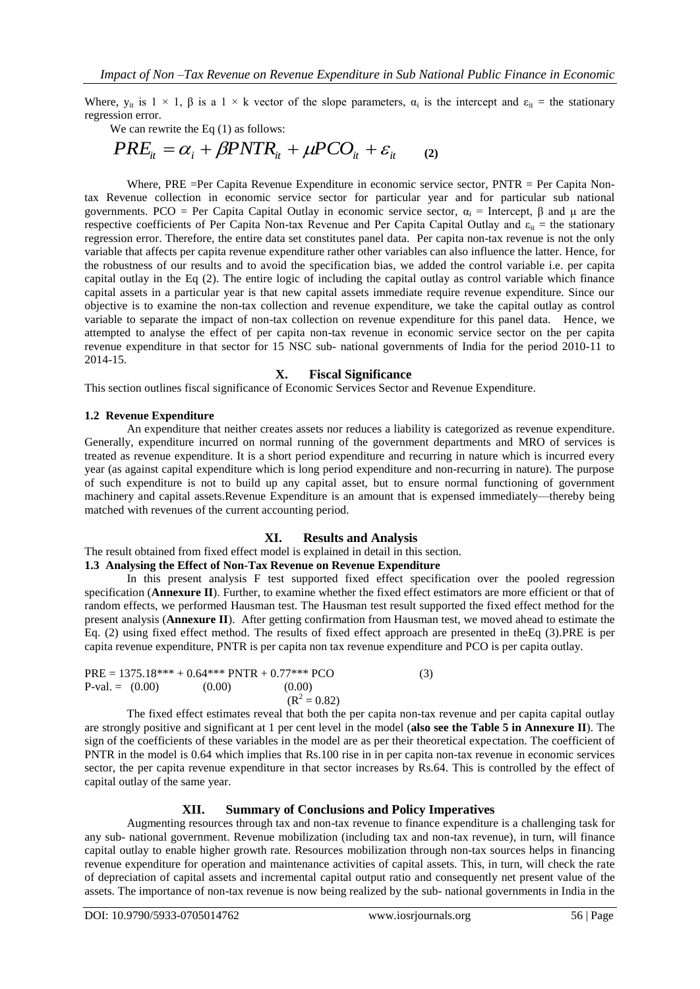Where,  $y_{it}$  is  $1 \times 1$ ,  $\beta$  is a  $1 \times k$  vector of the slope parameters,  $\alpha_i$  is the intercept and  $\varepsilon_{it}$  = the stationary regression error.

We can rewrite the Eq  $(1)$  as follows:

$$
PRE_{it} = \alpha_i + \beta PNTR_{it} + \mu PCO_{it} + \varepsilon_{it} \qquad (2)
$$

Where, PRE =Per Capita Revenue Expenditure in economic service sector, PNTR = Per Capita Nontax Revenue collection in economic service sector for particular year and for particular sub national governments. PCO = Per Capita Capital Outlay in economic service sector,  $\alpha_i$  = Intercept, β and μ are the respective coefficients of Per Capita Non-tax Revenue and Per Capita Capital Outlay and  $\varepsilon_{it}$  = the stationary regression error. Therefore, the entire data set constitutes panel data. Per capita non-tax revenue is not the only variable that affects per capita revenue expenditure rather other variables can also influence the latter. Hence, for the robustness of our results and to avoid the specification bias, we added the control variable i.e. per capita capital outlay in the Eq (2). The entire logic of including the capital outlay as control variable which finance capital assets in a particular year is that new capital assets immediate require revenue expenditure. Since our objective is to examine the non-tax collection and revenue expenditure, we take the capital outlay as control variable to separate the impact of non-tax collection on revenue expenditure for this panel data. Hence, we attempted to analyse the effect of per capita non-tax revenue in economic service sector on the per capita revenue expenditure in that sector for 15 NSC sub- national governments of India for the period 2010-11 to 2014-15.

#### **X. Fiscal Significance**

This section outlines fiscal significance of Economic Services Sector and Revenue Expenditure.

#### **1.2 Revenue Expenditure**

An expenditure that neither creates assets nor reduces a liability is categorized as revenue expenditure. Generally, expenditure incurred on normal running of the government departments and MRO of services is treated as revenue expenditure. It is a short period expenditure and recurring in nature which is incurred every year (as against capital expenditure which is long period expenditure and non-recurring in nature). The purpose of such expenditure is not to build up any capital asset, but to ensure normal functioning of government machinery and capital assets.Revenue Expenditure is an amount that is expensed immediately—thereby being matched with revenues of the current accounting period.

## **XI. Results and Analysis**

The result obtained from fixed effect model is explained in detail in this section.

# **1.3 Analysing the Effect of Non-Tax Revenue on Revenue Expenditure**

In this present analysis F test supported fixed effect specification over the pooled regression specification (**Annexure II**). Further, to examine whether the fixed effect estimators are more efficient or that of random effects, we performed Hausman test. The Hausman test result supported the fixed effect method for the present analysis (**Annexure II**). After getting confirmation from Hausman test, we moved ahead to estimate the Eq. (2) using fixed effect method. The results of fixed effect approach are presented in theEq (3).PRE is per capita revenue expenditure, PNTR is per capita non tax revenue expenditure and PCO is per capita outlay.

PRE = 1375.18\*\*\* + 0.64\*\*\* PNTR + 0.77\*\*\* PCO  
P-val. = (0.00) (0.00) (0.00)  

$$
(R^2 = 0.82)
$$
 (3)

The fixed effect estimates reveal that both the per capita non-tax revenue and per capita capital outlay are strongly positive and significant at 1 per cent level in the model (**also see the Table 5 in Annexure II**). The sign of the coefficients of these variables in the model are as per their theoretical expectation. The coefficient of PNTR in the model is 0.64 which implies that Rs.100 rise in in per capita non-tax revenue in economic services sector, the per capita revenue expenditure in that sector increases by Rs.64. This is controlled by the effect of capital outlay of the same year.

#### **XII. Summary of Conclusions and Policy Imperatives**

Augmenting resources through tax and non-tax revenue to finance expenditure is a challenging task for any sub- national government. Revenue mobilization (including tax and non-tax revenue), in turn, will finance capital outlay to enable higher growth rate. Resources mobilization through non-tax sources helps in financing revenue expenditure for operation and maintenance activities of capital assets. This, in turn, will check the rate of depreciation of capital assets and incremental capital output ratio and consequently net present value of the assets. The importance of non-tax revenue is now being realized by the sub- national governments in India in the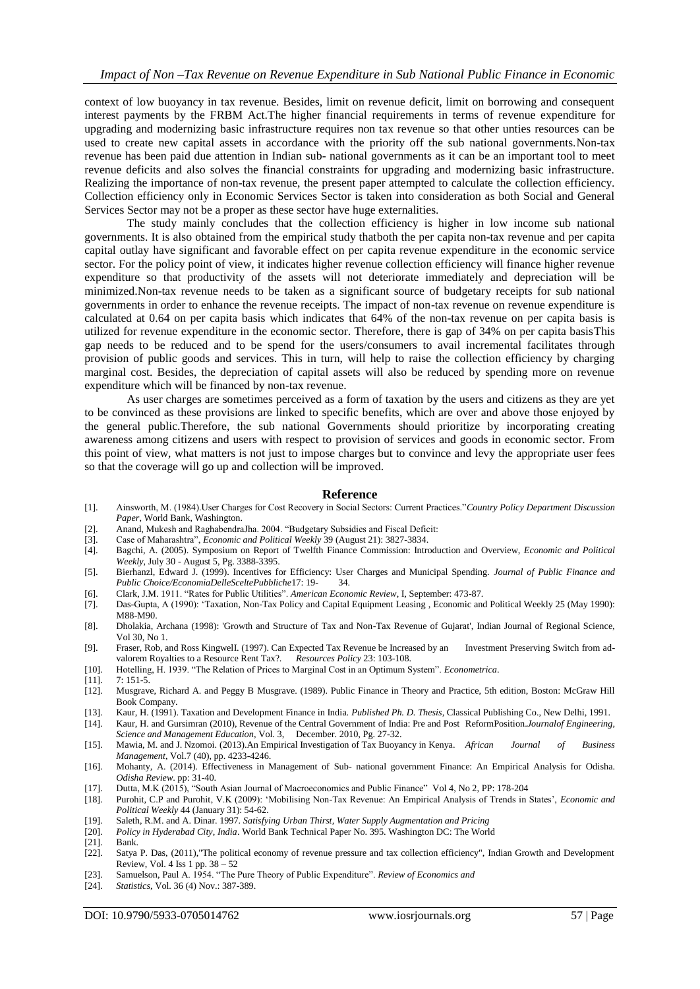context of low buoyancy in tax revenue. Besides, limit on revenue deficit, limit on borrowing and consequent interest payments by the FRBM Act.The higher financial requirements in terms of revenue expenditure for upgrading and modernizing basic infrastructure requires non tax revenue so that other unties resources can be used to create new capital assets in accordance with the priority off the sub national governments.Non-tax revenue has been paid due attention in Indian sub- national governments as it can be an important tool to meet revenue deficits and also solves the financial constraints for upgrading and modernizing basic infrastructure. Realizing the importance of non-tax revenue, the present paper attempted to calculate the collection efficiency. Collection efficiency only in Economic Services Sector is taken into consideration as both Social and General Services Sector may not be a proper as these sector have huge externalities.

The study mainly concludes that the collection efficiency is higher in low income sub national governments. It is also obtained from the empirical study thatboth the per capita non-tax revenue and per capita capital outlay have significant and favorable effect on per capita revenue expenditure in the economic service sector. For the policy point of view, it indicates higher revenue collection efficiency will finance higher revenue expenditure so that productivity of the assets will not deteriorate immediately and depreciation will be minimized.Non-tax revenue needs to be taken as a significant source of budgetary receipts for sub national governments in order to enhance the revenue receipts. The impact of non-tax revenue on revenue expenditure is calculated at 0.64 on per capita basis which indicates that 64% of the non-tax revenue on per capita basis is utilized for revenue expenditure in the economic sector. Therefore, there is gap of 34% on per capita basisThis gap needs to be reduced and to be spend for the users/consumers to avail incremental facilitates through provision of public goods and services. This in turn, will help to raise the collection efficiency by charging marginal cost. Besides, the depreciation of capital assets will also be reduced by spending more on revenue expenditure which will be financed by non-tax revenue.

As user charges are sometimes perceived as a form of taxation by the users and citizens as they are yet to be convinced as these provisions are linked to specific benefits, which are over and above those enjoyed by the general public.Therefore, the sub national Governments should prioritize by incorporating creating awareness among citizens and users with respect to provision of services and goods in economic sector. From this point of view, what matters is not just to impose charges but to convince and levy the appropriate user fees so that the coverage will go up and collection will be improved.

#### **Reference**

- [1]. Ainsworth, M. (1984).User Charges for Cost Recovery in Social Sectors: Current Practices.‖*Country Policy Department Discussion Paper*, World Bank, Washington.
- [2]. Anand, Mukesh and RaghabendraJha. 2004. "Budgetary Subsidies and Fiscal Deficit:
- [3]. Case of Maharashtra", *Economic and Political Weekly* 39 (August 21): 3827-3834.
- [4]. Bagchi, A. (2005). Symposium on Report of Twelfth Finance Commission: Introduction and Overview, *Economic and Political Weekly*, July 30 - August 5, Pg. 3388-3395.
- [5]. Bierhanzl, Edward J. (1999). Incentives for Efficiency: User Charges and Municipal Spending. *Journal of Public Finance and Public Choice/EconomiaDelleSceltePubbliche*17: 19- 34.
- [6]. Clark, J.M. 1911. ―Rates for Public Utilities‖. *American Economic Review*, I, September: 473-87.
- [7]. Das-Gupta, A (1990): [‗Taxation, Non-Tax Policy and Capital Equipment Leasing](http://www.epw.in/journal/1990/21/review-industry-and-management-uncategorised/taxation-non-tax-policy-and-capital) , Economic and Political Weekly 25 (May 1990): M88-M90.
- [8]. Dholakia, Archana (1998): 'Growth and Structure of Tax and Non-Tax Revenue of Gujarat', Indian Journal of Regional Science, Vol 30, No 1.
- [9]. Fraser, Rob, and Ross KingwelI. (1997). Can Expected Tax Revenue be Increased by an Investment Preserving Switch from advalorem Royalties to a Resource Rent Tax?. *Resources Policy* 23: 103-108.
- [10]. Hotelling, H. 1939. "The Relation of Prices to Marginal Cost in an Optimum System". *Econometrica*.
- [11]. 7: 151-5.
- [12]. Musgrave, Richard A. and Peggy B Musgrave. (1989). Public Finance in Theory and Practice, 5th edition, Boston: McGraw Hill Book Company.
- [13]. Kaur, H. (1991). Taxation and Development Finance in India. *Published Ph. D. Thesis*, Classical Publishing Co., New Delhi, 1991.
- [14]. Kaur, H. and Gursimran (2010), Revenue of the Central Government of India: Pre and Post ReformPosition.*Journalof Engineering, Science and Management Education*, Vol. 3, December. 2010, Pg. 27-32.
- [15]. Mawia, M. and J. Nzomoi. (2013).An Empirical Investigation of Tax Buoyancy in Kenya. *African Journal of Business Management*, Vol.7 (40), pp. 4233-4246.
- [16]. Mohanty, A. (2014). Effectiveness in Management of Sub- national government Finance: An Empirical Analysis for Odisha. *Odisha Review*. pp: 31-40.
- [17]. Dutta, M.K (2015), "South Asian Journal of Macroeconomics and Public Finance" Vol 4, No 2, PP: 178-204
- [18]. Purohit, C.P and Purohit, V.K (2009): ‗Mobilising Non-Tax Revenue: An Empirical Analysis of Trends in States', *Economic and Political Weekly* 44 (January 31): 54-62.
- [19]. Saleth, R.M. and A. Dinar. 1997. *Satisfying Urban Thirst, Water Supply Augmentation and Pricing*
- [20]. *Policy in Hyderabad City, India*. World Bank Technical Paper No. 395. Washington DC: The World
- [21]. Bank.<br>[22]. Satya
- Satya P. Das, (2011),"The political economy of revenue pressure and tax collection efficiency", Indian Growth and Development Review, Vol. 4 Iss 1 pp. 38 – 52
- [23]. Samuelson, Paul A. 1954. "The Pure Theory of Public Expenditure". *Review of Economics and*
- [24]. *Statistics*, Vol. 36 (4) Nov.: 387-389.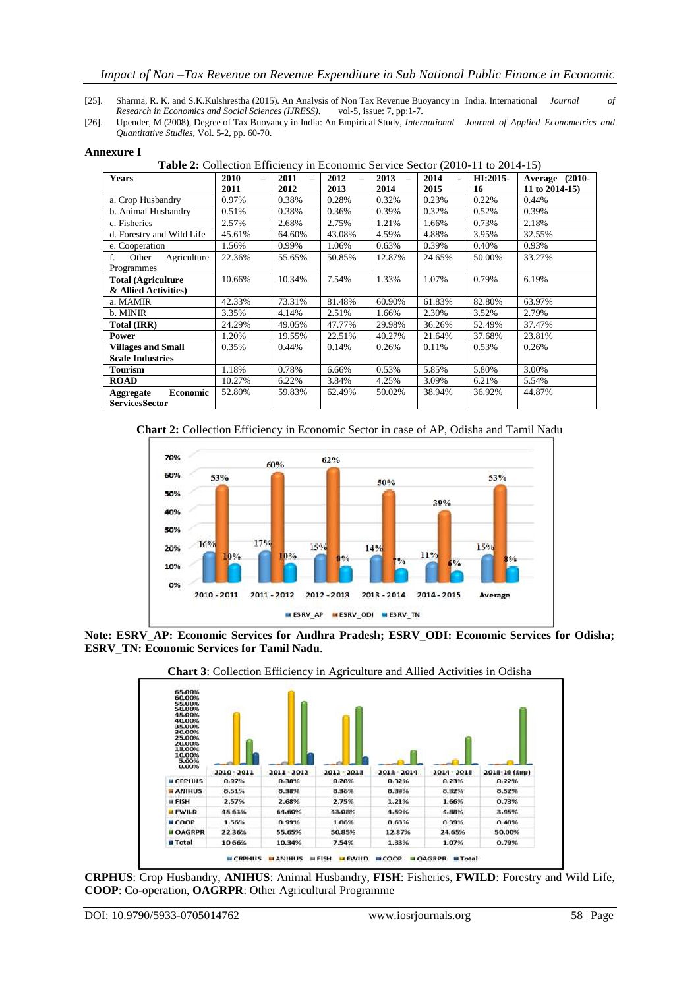#### *Impact of Non –Tax Revenue on Revenue Expenditure in Sub National Public Finance in Economic*

- [25]. Sharma, R. K. and S.K.Kulshrestha (2015). An Analysis of Non Tax Revenue Buoyancy in India. International *Journal of Research in Economics and Social Sciences (IJRESS).*
- [26]. Upender, M (2008), Degree of Tax Buoyancy in India: An Empirical Study, *International Journal of Applied Econometrics and Quantitative Studies*, Vol. 5-2, pp. 60-70.

| <b>Years</b>                        | 2010<br>$\overline{\phantom{0}}$ | 2011   | 2012   | 2013<br>$\equiv$ | 2014   | HI:2015- | Average (2010-    |
|-------------------------------------|----------------------------------|--------|--------|------------------|--------|----------|-------------------|
|                                     | 2011                             | 2012   | 2013   | 2014             | 2015   | 16       | 11 to $2014-15$ ) |
| a. Crop Husbandry                   | 0.97%                            | 0.38%  | 0.28%  | 0.32%            | 0.23%  | 0.22%    | 0.44%             |
| b. Animal Husbandry                 | 0.51%                            | 0.38%  | 0.36%  | 0.39%            | 0.32%  | 0.52%    | 0.39%             |
| c. Fisheries                        | 2.57%                            | 2.68%  | 2.75%  | 1.21%            | 1.66%  | 0.73%    | 2.18%             |
| d. Forestry and Wild Life           | 45.61%                           | 64.60% | 43.08% | 4.59%            | 4.88%  | 3.95%    | 32.55%            |
| e. Cooperation                      | 1.56%                            | 0.99%  | 1.06%  | 0.63%            | 0.39%  | 0.40%    | 0.93%             |
| Agriculture<br>$f_{\cdot}$<br>Other | 22.36%                           | 55.65% | 50.85% | 12.87%           | 24.65% | 50.00%   | 33.27%            |
| Programmes                          |                                  |        |        |                  |        |          |                   |
| <b>Total (Agriculture)</b>          | 10.66%                           | 10.34% | 7.54%  | 1.33%            | 1.07%  | 0.79%    | 6.19%             |
| & Allied Activities)                |                                  |        |        |                  |        |          |                   |
| a. MAMIR                            | 42.33%                           | 73.31% | 81.48% | 60.90%           | 61.83% | 82.80%   | 63.97%            |
| b. MINIR                            | 3.35%                            | 4.14%  | 2.51%  | 1.66%            | 2.30%  | 3.52%    | 2.79%             |
| Total (IRR)                         | 24.29%                           | 49.05% | 47.77% | 29.98%           | 36.26% | 52.49%   | 37.47%            |
| <b>Power</b>                        | 1.20%                            | 19.55% | 22.51% | 40.27%           | 21.64% | 37.68%   | 23.81%            |
| <b>Villages and Small</b>           | 0.35%                            | 0.44%  | 0.14%  | 0.26%            | 0.11%  | 0.53%    | 0.26%             |
| <b>Scale Industries</b>             |                                  |        |        |                  |        |          |                   |
| Tourism                             | 1.18%                            | 0.78%  | 6.66%  | 0.53%            | 5.85%  | 5.80%    | 3.00%             |
| <b>ROAD</b>                         | 10.27%                           | 6.22%  | 3.84%  | 4.25%            | 3.09%  | 6.21%    | 5.54%             |
| <b>Economic</b><br>Aggregate        | 52.80%                           | 59.83% | 62.49% | 50.02%           | 38.94% | 36.92%   | 44.87%            |
| <b>ServicesSector</b>               |                                  |        |        |                  |        |          |                   |

#### **Annexure I**

**Table 2:** Collection Efficiency in Economic Service Sector (2010-11 to 2014-15)





**Note: ESRV\_AP: Economic Services for Andhra Pradesh; ESRV\_ODI: Economic Services for Odisha; ESRV\_TN: Economic Services for Tamil Nadu**.





**CRPHUS**: Crop Husbandry, **ANIHUS**: Animal Husbandry, **FISH**: Fisheries, **FWILD**: Forestry and Wild Life, **COOP**: Co-operation, **OAGRPR**: Other Agricultural Programme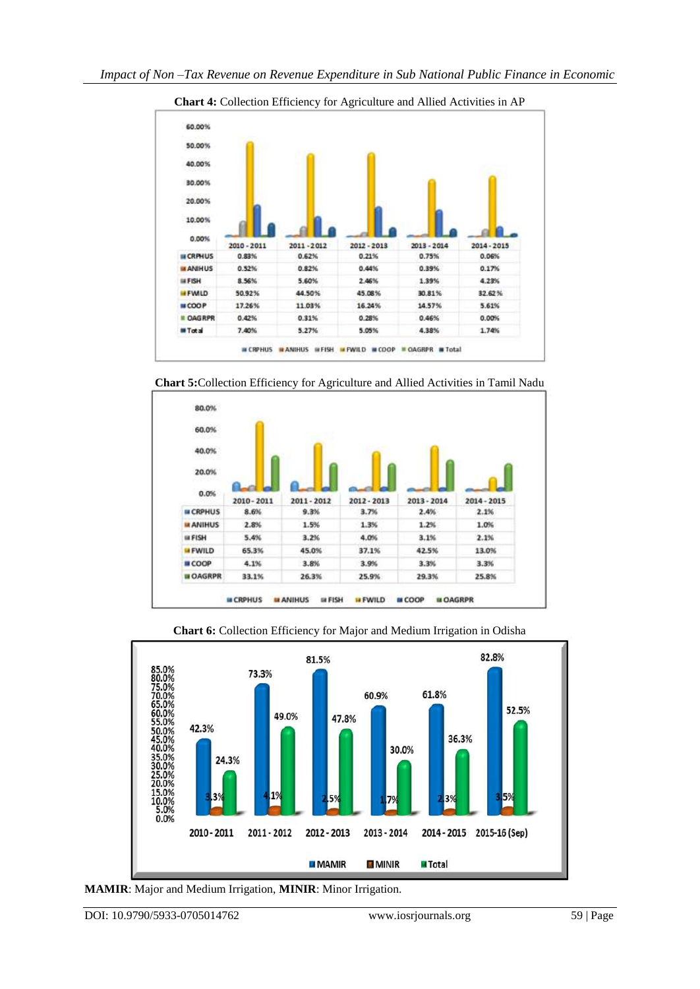

**Chart 4:** Collection Efficiency for Agriculture and Allied Activities in AP







**Chart 6:** Collection Efficiency for Major and Medium Irrigation in Odisha

**MAMIR**: Major and Medium Irrigation, **MINIR**: Minor Irrigation.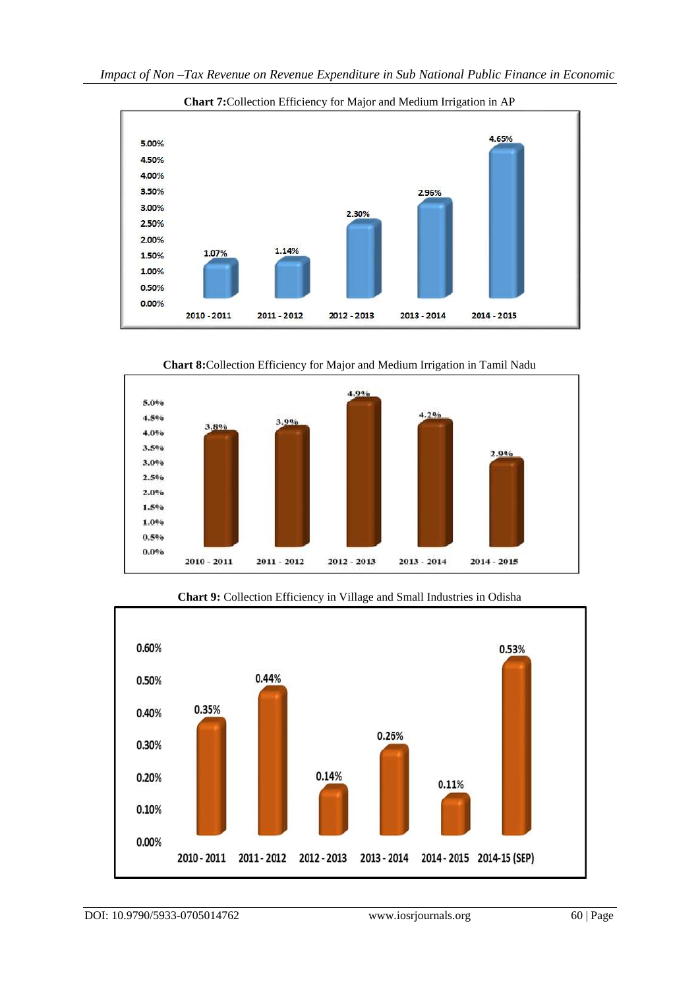

**Chart 7:**Collection Efficiency for Major and Medium Irrigation in AP

**Chart 8:**Collection Efficiency for Major and Medium Irrigation in Tamil Nadu





**Chart 9:** Collection Efficiency in Village and Small Industries in Odisha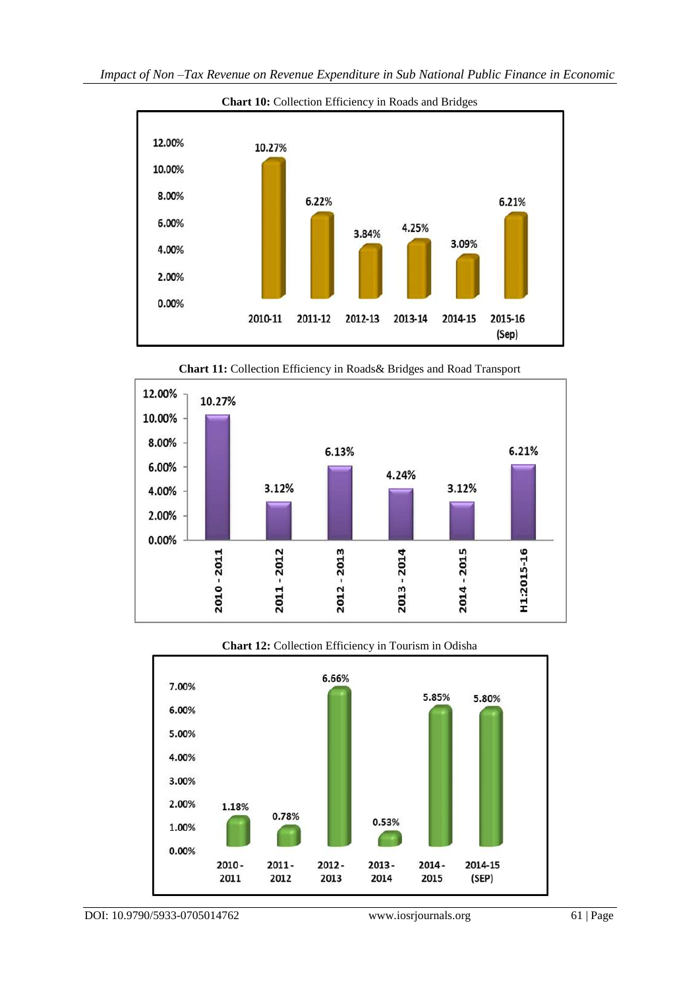

**Chart 11:** Collection Efficiency in Roads& Bridges and Road Transport



# **Chart 12:** Collection Efficiency in Tourism in Odisha